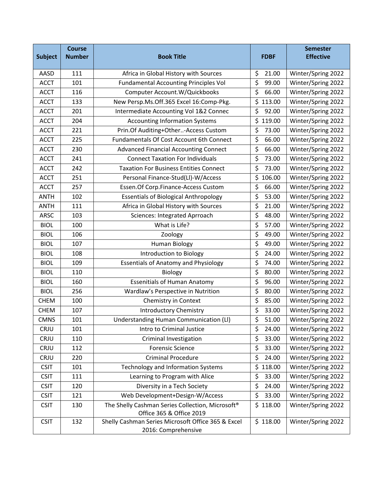| <b>Subject</b> | <b>Course</b><br><b>Number</b> | <b>Book Title</b>                                                         | <b>FDBF</b>               | <b>Semester</b><br><b>Effective</b> |
|----------------|--------------------------------|---------------------------------------------------------------------------|---------------------------|-------------------------------------|
| AASD           | 111                            | Africa in Global History with Sources                                     | \$<br>21.00               | Winter/Spring 2022                  |
| <b>ACCT</b>    | 101                            | <b>Fundamental Accounting Principles Vol</b>                              | $\overline{\xi}$<br>99.00 | Winter/Spring 2022                  |
| <b>ACCT</b>    | 116                            | Computer Account.W/Quickbooks                                             | \$<br>66.00               | Winter/Spring 2022                  |
| <b>ACCT</b>    | 133                            | New Persp.Ms.Off.365 Excel 16:Comp-Pkg.                                   | \$<br>113.00              | Winter/Spring 2022                  |
| <b>ACCT</b>    | 201                            | Intermediate Accounting Vol 1&2 Connec                                    | \$<br>92.00               | Winter/Spring 2022                  |
| <b>ACCT</b>    | 204                            | <b>Accounting Information Systems</b>                                     | \$<br>119.00              | Winter/Spring 2022                  |
| <b>ACCT</b>    | 221                            | Prin.Of Auditing+Other-Access Custom                                      | \$<br>73.00               | Winter/Spring 2022                  |
| <b>ACCT</b>    | 225                            | <b>Fundamentals Of Cost Account 6th Connect</b>                           | \$<br>66.00               | Winter/Spring 2022                  |
| <b>ACCT</b>    | 230                            | <b>Advanced Financial Accounting Connect</b>                              | \$<br>66.00               | Winter/Spring 2022                  |
| <b>ACCT</b>    | 241                            | <b>Connect Taxation For Individuals</b>                                   | \$<br>73.00               | Winter/Spring 2022                  |
| <b>ACCT</b>    | 242                            | <b>Taxation For Business Entities Connect</b>                             | \$<br>73.00               | Winter/Spring 2022                  |
| <b>ACCT</b>    | 251                            | Personal Finance-Stud(LI)-W/Access                                        | \$<br>106.00              | Winter/Spring 2022                  |
| <b>ACCT</b>    | 257                            | Essen.Of Corp.Finance-Access Custom                                       | \$<br>66.00               | Winter/Spring 2022                  |
| <b>ANTH</b>    | 102                            | <b>Essentials of Biological Anthropology</b>                              | \$<br>53.00               | Winter/Spring 2022                  |
| <b>ANTH</b>    | 111                            | Africa in Global History with Sources                                     | \$<br>21.00               | Winter/Spring 2022                  |
| <b>ARSC</b>    | 103                            | Sciences: Integrated Aprroach                                             | \$<br>48.00               | Winter/Spring 2022                  |
| <b>BIOL</b>    | 100                            | What is Life?                                                             | \$<br>57.00               | Winter/Spring 2022                  |
| <b>BIOL</b>    | 106                            | Zoology                                                                   | \$<br>49.00               | Winter/Spring 2022                  |
| <b>BIOL</b>    | 107                            | <b>Human Biology</b>                                                      | \$<br>49.00               | Winter/Spring 2022                  |
| <b>BIOL</b>    | 108                            | Introduction to Biology                                                   | \$<br>24.00               | Winter/Spring 2022                  |
| <b>BIOL</b>    | 109                            | <b>Essentials of Anatomy and Physiology</b>                               | \$<br>74.00               | Winter/Spring 2022                  |
| <b>BIOL</b>    | 110                            | Biology                                                                   | \$<br>80.00               | Winter/Spring 2022                  |
| <b>BIOL</b>    | 160                            | <b>Essenitials of Human Anatomy</b>                                       | \$<br>96.00               | Winter/Spring 2022                  |
| <b>BIOL</b>    | 256                            | Wardlaw's Perspective in Nutrition                                        | \$<br>80.00               | Winter/Spring 2022                  |
| <b>CHEM</b>    | 100                            | Chemistry in Context                                                      | \$<br>85.00               | Winter/Spring 2022                  |
| <b>CHEM</b>    | 107                            | <b>Introductory Chemistry</b>                                             | \$<br>33.00               | Winter/Spring 2022                  |
| <b>CMNS</b>    | 101                            | Understanding Human Communication (LI)                                    | \$<br>51.00               | Winter/Spring 2022                  |
| CRJU           | 101                            | Intro to Criminal Justice                                                 | \$<br>24.00               | Winter/Spring 2022                  |
| CRJU           | 110                            | <b>Criminal Investigation</b>                                             | \$<br>33.00               | Winter/Spring 2022                  |
| CRJU           | 112                            | <b>Forensic Science</b>                                                   | \$<br>33.00               | Winter/Spring 2022                  |
| CRJU           | 220                            | <b>Criminal Procedure</b>                                                 | \$<br>24.00               | Winter/Spring 2022                  |
| <b>CSIT</b>    | 101                            | <b>Technology and Information Systems</b>                                 | \$<br>118.00              | Winter/Spring 2022                  |
| <b>CSIT</b>    | 111                            | Learning to Program with Alice                                            | \$<br>33.00               | Winter/Spring 2022                  |
| <b>CSIT</b>    | 120                            | Diversity in a Tech Society                                               | \$<br>24.00               | Winter/Spring 2022                  |
| <b>CSIT</b>    | 121                            | Web Development+Design-W/Access                                           | \$<br>33.00               | Winter/Spring 2022                  |
| <b>CSIT</b>    | 130                            | The Shelly Cashman Series Collection, Microsoft <sup>®</sup>              | \$118.00                  | Winter/Spring 2022                  |
|                |                                | Office 365 & Office 2019                                                  |                           |                                     |
| <b>CSIT</b>    | 132                            | Shelly Cashman Series Microsoft Office 365 & Excel<br>2016: Comprehensive | \$118.00                  | Winter/Spring 2022                  |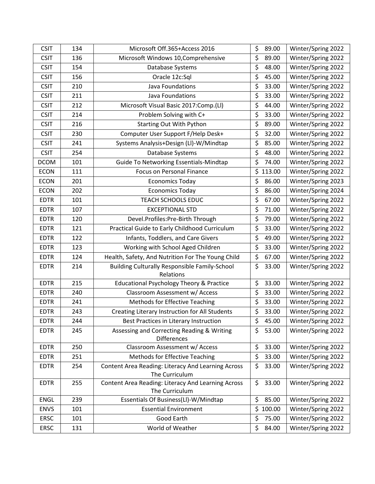| <b>CSIT</b> | 134 | Microsoft Off.365+Access 2016                                    | \$<br>89.00 | Winter/Spring 2022 |
|-------------|-----|------------------------------------------------------------------|-------------|--------------------|
| <b>CSIT</b> | 136 | Microsoft Windows 10, Comprehensive                              | \$<br>89.00 | Winter/Spring 2022 |
| <b>CSIT</b> | 154 | Database Systems                                                 | \$<br>48.00 | Winter/Spring 2022 |
| <b>CSIT</b> | 156 | Oracle 12c:Sql                                                   | \$<br>45.00 | Winter/Spring 2022 |
| <b>CSIT</b> | 210 | Java Foundations                                                 | \$<br>33.00 | Winter/Spring 2022 |
| <b>CSIT</b> | 211 | Java Foundations                                                 | \$<br>33.00 | Winter/Spring 2022 |
| <b>CSIT</b> | 212 | Microsoft Visual Basic 2017:Comp.(Ll)                            | \$<br>44.00 | Winter/Spring 2022 |
| <b>CSIT</b> | 214 | Problem Solving with C+                                          | \$<br>33.00 | Winter/Spring 2022 |
| <b>CSIT</b> | 216 | <b>Starting Out With Python</b>                                  | \$<br>89.00 | Winter/Spring 2022 |
| <b>CSIT</b> | 230 | Computer User Support F/Help Desk+                               | \$<br>32.00 | Winter/Spring 2022 |
| <b>CSIT</b> | 241 | Systems Analysis+Design (Ll)-W/Mindtap                           | \$<br>85.00 | Winter/Spring 2022 |
| <b>CSIT</b> | 254 | Database Systems                                                 | \$<br>48.00 | Winter/Spring 2022 |
| <b>DCOM</b> | 101 | Guide To Networking Essentials-Mindtap                           | \$<br>74.00 | Winter/Spring 2022 |
| <b>ECON</b> | 111 | <b>Focus on Personal Finance</b>                                 | \$113.00    | Winter/Spring 2022 |
| <b>ECON</b> | 201 | <b>Economics Today</b>                                           | \$<br>86.00 | Winter/Spring 2023 |
| <b>ECON</b> | 202 | <b>Economics Today</b>                                           | \$<br>86.00 | Winter/Spring 2024 |
| <b>EDTR</b> | 101 | <b>TEACH SCHOOLS EDUC</b>                                        | \$<br>67.00 | Winter/Spring 2022 |
| <b>EDTR</b> | 107 | <b>EXCEPTIONAL STD</b>                                           | \$<br>71.00 | Winter/Spring 2022 |
| <b>EDTR</b> | 120 | Devel.Profiles:Pre-Birth Through                                 | \$<br>79.00 | Winter/Spring 2022 |
| <b>EDTR</b> | 121 | Practical Guide to Early Childhood Curriculum                    | \$<br>33.00 | Winter/Spring 2022 |
| <b>EDTR</b> | 122 | Infants, Toddlers, and Care Givers                               | \$<br>49.00 | Winter/Spring 2022 |
| <b>EDTR</b> | 123 | Working with School Aged Children                                | \$<br>33.00 | Winter/Spring 2022 |
| <b>EDTR</b> | 124 | Health, Safety, And Nutrition For The Young Child                | \$<br>67.00 | Winter/Spring 2022 |
| <b>EDTR</b> | 214 | <b>Building Culturally Responsible Family-School</b>             | \$<br>33.00 | Winter/Spring 2022 |
|             |     | Relations                                                        |             |                    |
| <b>EDTR</b> | 215 | <b>Educational Psychology Theory &amp; Practice</b>              | \$<br>33.00 | Winter/Spring 2022 |
| <b>EDTR</b> | 240 | Classroom Assessment w/ Access                                   | \$<br>33.00 | Winter/Spring 2022 |
| <b>EDTR</b> | 241 | Methods for Effective Teaching                                   | \$<br>33.00 | Winter/Spring 2022 |
| <b>EDTR</b> | 243 | Creating Literary Instruction for All Students                   | \$<br>33.00 | Winter/Spring 2022 |
| <b>EDTR</b> | 244 | Best Practices in Literary Instruction                           | \$<br>45.00 | Winter/Spring 2022 |
| <b>EDTR</b> | 245 | Assessing and Correcting Reading & Writing<br><b>Differences</b> | \$<br>53.00 | Winter/Spring 2022 |
| <b>EDTR</b> | 250 | Classroom Assessment w/ Access                                   | \$<br>33.00 | Winter/Spring 2022 |
| <b>EDTR</b> | 251 | Methods for Effective Teaching                                   | \$<br>33.00 | Winter/Spring 2022 |
| <b>EDTR</b> | 254 | Content Area Reading: Literacy And Learning Across               | \$<br>33.00 | Winter/Spring 2022 |
|             |     | The Curriculum                                                   |             |                    |
| <b>EDTR</b> | 255 | Content Area Reading: Literacy And Learning Across               | \$<br>33.00 | Winter/Spring 2022 |
|             |     | The Curriculum                                                   |             |                    |
| <b>ENGL</b> | 239 | Essentials Of Business(LI)-W/Mindtap                             | \$<br>85.00 | Winter/Spring 2022 |
| <b>ENVS</b> | 101 | <b>Essential Environment</b>                                     | \$100.00    | Winter/Spring 2022 |
| <b>ERSC</b> | 101 | Good Earth                                                       | \$<br>75.00 | Winter/Spring 2022 |
| ERSC        | 131 | World of Weather                                                 | \$<br>84.00 | Winter/Spring 2022 |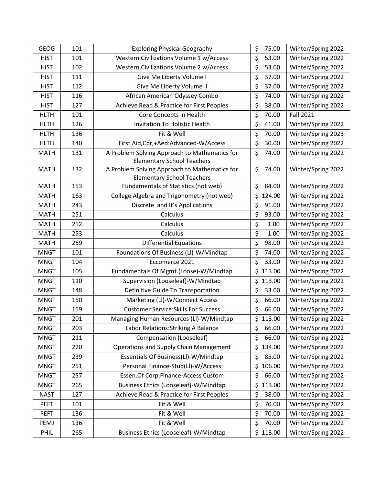| <b>GEOG</b> | 101 | <b>Exploring Physical Geography</b>                                                | \$<br>75.00 | Winter/Spring 2022 |
|-------------|-----|------------------------------------------------------------------------------------|-------------|--------------------|
| <b>HIST</b> | 101 | Western Civilizations Volume 1 w/Access                                            | \$<br>53.00 | Winter/Spring 2022 |
| <b>HIST</b> | 102 | Western Civilizations Volume 2 w/Access                                            | \$<br>53.00 | Winter/Spring 2022 |
| <b>HIST</b> | 111 | Give Me Liberty Volume I                                                           | \$<br>37.00 | Winter/Spring 2022 |
| <b>HIST</b> | 112 | Give Me Liberty Volume II                                                          | \$<br>37.00 | Winter/Spring 2022 |
| <b>HIST</b> | 116 | African American Odyssey Combo                                                     | \$<br>74.00 | Winter/Spring 2022 |
| <b>HIST</b> | 127 | Achieve Read & Practice for First Peoples                                          | \$<br>38.00 | Winter/Spring 2022 |
| <b>HLTH</b> | 101 | Core Concepts in Health                                                            | \$<br>70.00 | <b>Fall 2021</b>   |
| <b>HLTH</b> | 126 | Invitation To Holistic Health                                                      | \$<br>41.00 | Winter/Spring 2022 |
| <b>HLTH</b> | 136 | Fit & Well                                                                         | \$<br>70.00 | Winter/Spring 2023 |
| <b>HLTH</b> | 140 | First Aid, Cpr, + Aed: Advanced-W/Access                                           | \$<br>30.00 | Winter/Spring 2022 |
| <b>MATH</b> | 131 | A Problem Solving Approach to Mathematics for<br><b>Elementary School Teachers</b> | \$<br>74.00 | Winter/Spring 2022 |
| <b>MATH</b> | 132 | A Problem Solving Approach to Mathematics for<br><b>Elementary School Teachers</b> | \$<br>74.00 | Winter/Spring 2022 |
| <b>MATH</b> | 153 | Fundamentals of Statistics (not web)                                               | \$<br>84.00 | Winter/Spring 2022 |
| <b>MATH</b> | 163 | College Algebra and Trigonometry (not web)                                         | \$124.00    | Winter/Spring 2022 |
| <b>MATH</b> | 243 | Discrete and It's Applications                                                     | \$<br>91.00 | Winter/Spring 2022 |
| <b>MATH</b> | 251 | Calculus                                                                           | \$<br>93.00 | Winter/Spring 2022 |
| <b>MATH</b> | 252 | Calculus                                                                           | \$<br>1.00  | Winter/Spring 2022 |
| <b>MATH</b> | 253 | Calculus                                                                           | \$<br>1.00  | Winter/Spring 2022 |
| <b>MATH</b> | 259 | <b>Differential Equations</b>                                                      | \$<br>98.00 | Winter/Spring 2022 |
| <b>MNGT</b> | 101 | Foundations Of Business (LI)-W/Mindtap                                             | \$<br>74.00 | Winter/Spring 2022 |
| <b>MNGT</b> | 104 | Eccomerce 2021                                                                     | \$<br>33.00 | Winter/Spring 2022 |
| <b>MNGT</b> | 105 | Fundamentals Of Mgmt.(Loose)-W/Mindtap                                             | \$113.00    | Winter/Spring 2022 |
| <b>MNGT</b> | 110 | Supervision (Looseleaf)-W/Mindtap                                                  | \$113.00    | Winter/Spring 2022 |
| <b>MNGT</b> | 148 | Definitive Guide To Transportation                                                 | \$<br>33.00 | Winter/Spring 2022 |
| <b>MNGT</b> | 150 | Marketing (LI)-W/Connect Access                                                    | \$<br>66.00 | Winter/Spring 2022 |
| <b>MNGT</b> | 159 | <b>Customer Service: Skills For Success</b>                                        | \$<br>66.00 | Winter/Spring 2022 |
| <b>MNGT</b> | 201 | Managing Human Resources (LI)-W/Mindtap                                            | \$113.00    | Winter/Spring 2022 |
| <b>MNGT</b> | 203 | Labor Relations: Striking A Balance                                                | \$<br>66.00 | Winter/Spring 2022 |
| <b>MNGT</b> | 211 | Compensation (Looseleaf)                                                           | \$<br>66.00 | Winter/Spring 2022 |
| <b>MNGT</b> | 220 | <b>Operations and Supply Chain Management</b>                                      | \$134.00    | Winter/Spring 2022 |
| <b>MNGT</b> | 239 | Essentials Of Business(LI)-W/Mindtap                                               | \$<br>85.00 | Winter/Spring 2022 |
| <b>MNGT</b> | 251 | Personal Finance-Stud(LI)-W/Access                                                 | \$106.00    | Winter/Spring 2022 |
| <b>MNGT</b> | 257 | Essen.Of Corp.Finance-Access Custom                                                | \$<br>66.00 | Winter/Spring 2022 |
| <b>MNGT</b> | 265 | Business Ethics (Looseleaf)-W/Mindtap                                              | \$113.00    | Winter/Spring 2022 |
| <b>NAST</b> | 127 | Achieve Read & Practice for First Peoples                                          | \$<br>38.00 | Winter/Spring 2022 |
| <b>PEFT</b> | 101 | Fit & Well                                                                         | \$<br>70.00 | Winter/Spring 2022 |
| <b>PEFT</b> | 136 | Fit & Well                                                                         | \$<br>70.00 | Winter/Spring 2022 |
| PEMJ        | 136 | Fit & Well                                                                         | \$<br>70.00 | Winter/Spring 2022 |
| PHIL        | 265 | Business Ethics (Looseleaf)-W/Mindtap                                              | \$113.00    | Winter/Spring 2022 |